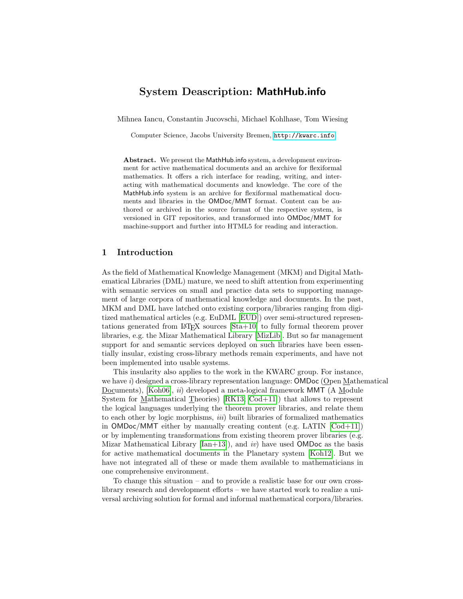# System Deascription: MathHub.info

Mihnea Iancu, Constantin Jucovschi, Michael Kohlhase, Tom Wiesing

Computer Science, Jacobs University Bremen, <http://kwarc.info>

Abstract. We present the MathHub.info system, a development environment for active mathematical documents and an archive for flexiformal mathematics. It offers a rich interface for reading, writing, and interacting with mathematical documents and knowledge. The core of the MathHub.info system is an archive for flexiformal mathematical documents and libraries in the OMDoc/MMT format. Content can be authored or archived in the source format of the respective system, is versioned in GIT repositories, and transformed into OMDoc/MMT for machine-support and further into HTML5 for reading and interaction.

### 1 Introduction

As the field of Mathematical Knowledge Management (MKM) and Digital Mathematical Libraries (DML) mature, we need to shift attention from experimenting with semantic services on small and practice data sets to supporting management of large corpora of mathematical knowledge and documents. In the past, MKM and DML have latched onto existing corpora/libraries ranging from digitized mathematical articles (e.g. EuDML [\[EUD\]](#page-3-0)) over semi-structured representations generated from LAT<sub>EX</sub> sources  $[Sta+10]$  to fully formal theorem prover libraries, e.g. the Mizar Mathematical Library [\[MizLib\]](#page-3-1). But so far management support for and semantic services deployed on such libraries have been essentially insular, existing cross-library methods remain experiments, and have not been implemented into usable systems.

This insularity also applies to the work in the KWARC group. For instance, we have i) designed a cross-library representation language: OMDoc (Open Mathematical Documents), [\[Koh06\]](#page-3-2), *ii*) developed a meta-logical framework MMT (A Module System for Mathematical Theories)  $[RK13; Cod+11]$  $[RK13; Cod+11]$  that allows to represent the logical languages underlying the theorem prover libraries, and relate them to each other by logic morphisms, *iii*) built libraries of formalized mathematics in OMDoc/MMT either by manually creating content (e.g. LATIN [\[Cod+11\]](#page-3-4)) or by implementing transformations from existing theorem prover libraries (e.g. Mizar Mathematical Library  $\text{[Ian+13]}$  $\text{[Ian+13]}$  $\text{[Ian+13]}$ , and iv) have used **OMDoc** as the basis for active mathematical documents in the Planetary system [\[Koh12\]](#page-3-6). But we have not integrated all of these or made them available to mathematicians in one comprehensive environment.

To change this situation – and to provide a realistic base for our own crosslibrary research and development efforts – we have started work to realize a universal archiving solution for formal and informal mathematical corpora/libraries.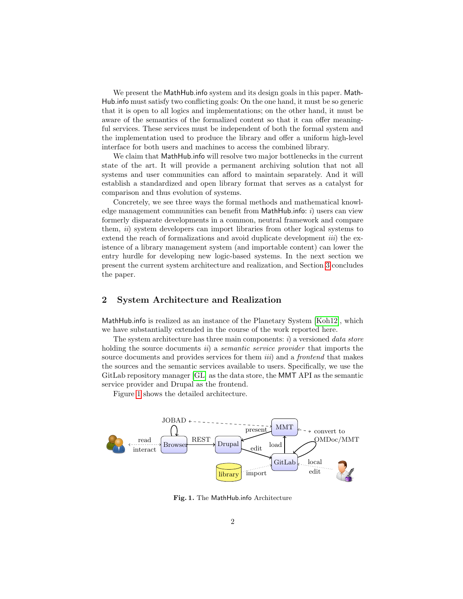We present the MathHub.info system and its design goals in this paper. Math-Hub.info must satisfy two conflicting goals: On the one hand, it must be so generic that it is open to all logics and implementations; on the other hand, it must be aware of the semantics of the formalized content so that it can offer meaningful services. These services must be independent of both the formal system and the implementation used to produce the library and offer a uniform high-level interface for both users and machines to access the combined library.

We claim that MathHub.info will resolve two major bottlenecks in the current state of the art. It will provide a permanent archiving solution that not all systems and user communities can afford to maintain separately. And it will establish a standardized and open library format that serves as a catalyst for comparison and thus evolution of systems.

Concretely, we see three ways the formal methods and mathematical knowledge management communities can benefit from MathHub.info:  $i$ ) users can view formerly disparate developments in a common, neutral framework and compare them, *ii*) system developers can import libraries from other logical systems to extend the reach of formalizations and avoid duplicate development  $iii)$  the existence of a library management system (and importable content) can lower the entry hurdle for developing new logic-based systems. In the next section we present the current system architecture and realization, and Section [3](#page-2-0) concludes the paper.

# 2 System Architecture and Realization

MathHub.info is realized as an instance of the Planetary System [\[Koh12\]](#page-3-6), which we have substantially extended in the course of the work reported here.

The system architecture has three main components:  $i)$  a versioned *data store* holding the source documents *ii*) a *semantic service provider* that imports the source documents and provides services for them *iii*) and a *frontend* that makes the sources and the semantic services available to users. Specifically, we use the GitLab repository manager [\[GL\]](#page-3-7) as the data store, the MMT API as the semantic service provider and Drupal as the frontend.

Figure [1](#page-1-0) shows the detailed architecture.



<span id="page-1-0"></span>Fig. 1. The MathHub.info Architecture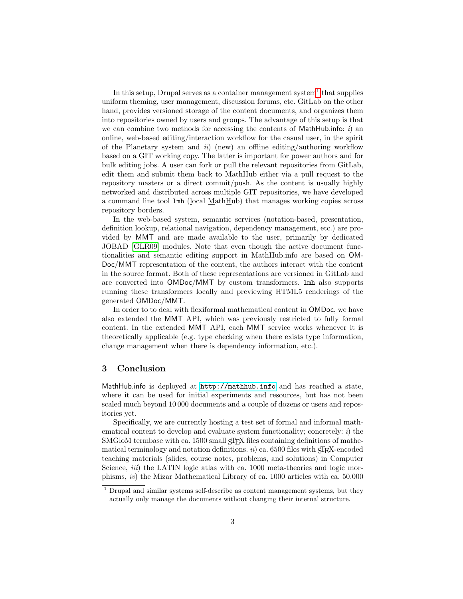In this setup, Drupal serves as a container management system<sup>[1](#page-2-1)</sup> that supplies uniform theming, user management, discussion forums, etc. GitLab on the other hand, provides versioned storage of the content documents, and organizes them into repositories owned by users and groups. The advantage of this setup is that we can combine two methods for accessing the contents of MathHub.info:  $i$ ) an online, web-based editing/interaction workflow for the casual user, in the spirit of the Planetary system and  $ii$ ) (new) an offline editing/authoring workflow based on a GIT working copy. The latter is important for power authors and for bulk editing jobs. A user can fork or pull the relevant repositories from GitLab, edit them and submit them back to MathHub either via a pull request to the repository masters or a direct commit/push. As the content is usually highly networked and distributed across multiple GIT repositories, we have developed a command line tool lmh (local MathHub) that manages working copies across repository borders.

In the web-based system, semantic services (notation-based, presentation, definition lookup, relational navigation, dependency management, etc.) are provided by MMT and are made available to the user, primarily by dedicated JOBAD [\[GLR09\]](#page-3-8) modules. Note that even though the active document functionalities and semantic editing support in MathHub.info are based on OM-Doc/MMT representation of the content, the authors interact with the content in the source format. Both of these representations are versioned in GitLab and are converted into OMDoc/MMT by custom transformers. lmh also supports running these transformers locally and previewing HTML5 renderings of the generated OMDoc/MMT.

In order to to deal with flexiformal mathematical content in OMDoc, we have also extended the MMT API, which was previously restricted to fully formal content. In the extended MMT API, each MMT service works whenever it is theoretically applicable (e.g. type checking when there exists type information, change management when there is dependency information, etc.).

#### <span id="page-2-0"></span>3 Conclusion

MathHub.info is deployed at <http://mathhub.info> and has reached a state, where it can be used for initial experiments and resources, but has not been scaled much beyond 10 000 documents and a couple of dozens or users and repositories yet.

Specifically, we are currently hosting a test set of formal and informal mathematical content to develop and evaluate system functionality; concretely:  $i)$  the SMGloM termbase with ca. 1500 small STEX files containing definitions of mathematical terminology and notation definitions.  $ii)$  ca. 6500 files with  $SIFX$ -encoded teaching materials (slides, course notes, problems, and solutions) in Computer Science,  $iii)$  the LATIN logic atlas with ca. 1000 meta-theories and logic morphisms, iv) the Mizar Mathematical Library of ca. 1000 articles with ca. 50.000

<span id="page-2-1"></span><sup>1</sup> Drupal and similar systems self-describe as content management systems, but they actually only manage the documents without changing their internal structure.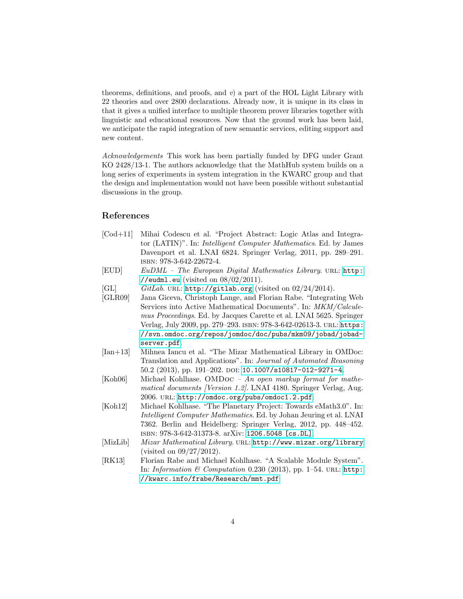theorems, definitions, and proofs, and  $v$ ) a part of the HOL Light Library with 22 theories and over 2800 declarations. Already now, it is unique in its class in that it gives a unified interface to multiple theorem prover libraries together with linguistic and educational resources. Now that the ground work has been laid, we anticipate the rapid integration of new semantic services, editing support and new content.

Acknowledgements This work has been partially funded by DFG under Grant KO 2428/13-1. The authors acknowledge that the MathHub system builds on a long series of experiments in system integration in the KWARC group and that the design and implementation would not have been possible without substantial discussions in the group.

## References

- <span id="page-3-4"></span>[Cod+11] Mihai Codescu et al. "Project Abstract: Logic Atlas and Integrator (LATIN)". In: Intelligent Computer Mathematics. Ed. by James Davenport et al. LNAI 6824. Springer Verlag, 2011, pp. 289–291. isbn: 978-3-642-22672-4.
- <span id="page-3-0"></span>[EUD] EuDML - The European Digital Mathematics Library. URL: [http:](http://eudml.eu) [//eudml.eu](http://eudml.eu) (visited on  $08/02/2011$ ).
- <span id="page-3-7"></span>[GL]  $GitLab. \text{ URL: http://github.org (visited on 02/24/2014).}$
- <span id="page-3-8"></span>[GLR09] Jana Giceva, Christoph Lange, and Florian Rabe. "Integrating Web Services into Active Mathematical Documents". In: MKM/Calculemus Proceedings. Ed. by Jacques Carette et al. LNAI 5625. Springer Verlag, July 2009, pp. 279–293. isbn: 978-3-642-02613-3. url: [https:](https://svn.omdoc.org/repos/jomdoc/doc/pubs/mkm09/jobad/jobad-server.pdf) [//svn.omdoc.org/repos/jomdoc/doc/pubs/mkm09/jobad/jobad](https://svn.omdoc.org/repos/jomdoc/doc/pubs/mkm09/jobad/jobad-server.pdf)[server.pdf](https://svn.omdoc.org/repos/jomdoc/doc/pubs/mkm09/jobad/jobad-server.pdf).
- <span id="page-3-5"></span>[Ian+13] Mihnea Iancu et al. "The Mizar Mathematical Library in OMDoc: Translation and Applications". In: Journal of Automated Reasoning 50.2 (2013), pp. 191-202. DOI: [10.1007/s10817-012-9271-4](https://doi.org/10.1007/s10817-012-9271-4).
- <span id="page-3-2"></span>[Koh06] Michael Kohlhase. OMDoc – An open markup format for mathematical documents [Version 1.2]. LNAI 4180. Springer Verlag, Aug. 2006. url: <http://omdoc.org/pubs/omdoc1.2.pdf>.
- <span id="page-3-6"></span>[Koh12] Michael Kohlhase. "The Planetary Project: Towards eMath3.0". In: Intelligent Computer Mathematics. Ed. by Johan Jeuring et al. LNAI 7362. Berlin and Heidelberg: Springer Verlag, 2012, pp. 448–452. isbn: 978-3-642-31373-8. arXiv: [1206.5048 \[cs.DL\]](http://arxiv.org/abs/1206.5048).
- <span id="page-3-1"></span>[MizLib] Mizar Mathematical Library. url: <http://www.mizar.org/library> (visited on 09/27/2012).
- <span id="page-3-3"></span>[RK13] Florian Rabe and Michael Kohlhase. "A Scalable Module System". In: Information & Computation 0.230 (2013), pp. 1–54. url: [http:](http://kwarc.info/frabe/Research/mmt.pdf) [//kwarc.info/frabe/Research/mmt.pdf](http://kwarc.info/frabe/Research/mmt.pdf).